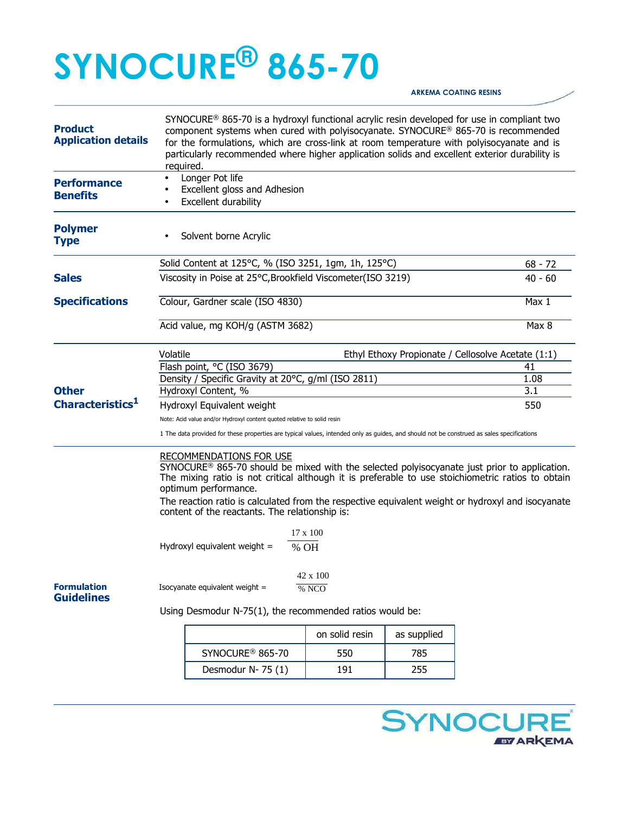## **SYNOCURE® 865-70**

## **ARKEMA COATING RESINS**

| <b>Product</b><br><b>Application details</b> | SYNOCURE <sup>®</sup> 865-70 is a hydroxyl functional acrylic resin developed for use in compliant two<br>component systems when cured with polyisocyanate. SYNOCURE® 865-70 is recommended<br>for the formulations, which are cross-link at room temperature with polyisocyanate and is<br>particularly recommended where higher application solids and excellent exterior durability is<br>required. |                                                                                                                                                                                                                                                                                                                                                                                                                       |                |             |    |  |
|----------------------------------------------|--------------------------------------------------------------------------------------------------------------------------------------------------------------------------------------------------------------------------------------------------------------------------------------------------------------------------------------------------------------------------------------------------------|-----------------------------------------------------------------------------------------------------------------------------------------------------------------------------------------------------------------------------------------------------------------------------------------------------------------------------------------------------------------------------------------------------------------------|----------------|-------------|----|--|
| <b>Performance</b><br><b>Benefits</b>        | Longer Pot life<br>$\bullet$<br>Excellent gloss and Adhesion<br>Excellent durability                                                                                                                                                                                                                                                                                                                   |                                                                                                                                                                                                                                                                                                                                                                                                                       |                |             |    |  |
| <b>Polymer</b><br><b>Type</b>                |                                                                                                                                                                                                                                                                                                                                                                                                        | Solvent borne Acrylic                                                                                                                                                                                                                                                                                                                                                                                                 |                |             |    |  |
|                                              |                                                                                                                                                                                                                                                                                                                                                                                                        | Solid Content at 125°C, % (ISO 3251, 1gm, 1h, 125°C)                                                                                                                                                                                                                                                                                                                                                                  | $68 - 72$      |             |    |  |
| <b>Sales</b>                                 | Viscosity in Poise at 25°C, Brookfield Viscometer(ISO 3219)                                                                                                                                                                                                                                                                                                                                            | $40 - 60$                                                                                                                                                                                                                                                                                                                                                                                                             |                |             |    |  |
| <b>Specifications</b>                        | Colour, Gardner scale (ISO 4830)                                                                                                                                                                                                                                                                                                                                                                       | Max 1                                                                                                                                                                                                                                                                                                                                                                                                                 |                |             |    |  |
|                                              | Acid value, mg KOH/g (ASTM 3682)                                                                                                                                                                                                                                                                                                                                                                       | Max 8                                                                                                                                                                                                                                                                                                                                                                                                                 |                |             |    |  |
|                                              | Volatile<br>Ethyl Ethoxy Propionate / Cellosolve Acetate (1:1)                                                                                                                                                                                                                                                                                                                                         |                                                                                                                                                                                                                                                                                                                                                                                                                       |                |             |    |  |
|                                              |                                                                                                                                                                                                                                                                                                                                                                                                        | Flash point, °C (ISO 3679)                                                                                                                                                                                                                                                                                                                                                                                            |                |             | 41 |  |
|                                              | Density / Specific Gravity at 20°C, g/ml (ISO 2811)                                                                                                                                                                                                                                                                                                                                                    | 1.08                                                                                                                                                                                                                                                                                                                                                                                                                  |                |             |    |  |
| <b>Other</b><br>Characteristics <sup>1</sup> | Hydroxyl Content, %                                                                                                                                                                                                                                                                                                                                                                                    | 3.1                                                                                                                                                                                                                                                                                                                                                                                                                   |                |             |    |  |
|                                              | Hydroxyl Equivalent weight                                                                                                                                                                                                                                                                                                                                                                             | 550                                                                                                                                                                                                                                                                                                                                                                                                                   |                |             |    |  |
|                                              | Note: Acid value and/or Hydroxyl content quoted relative to solid resin                                                                                                                                                                                                                                                                                                                                |                                                                                                                                                                                                                                                                                                                                                                                                                       |                |             |    |  |
|                                              | 1 The data provided for these properties are typical values, intended only as guides, and should not be construed as sales specifications                                                                                                                                                                                                                                                              |                                                                                                                                                                                                                                                                                                                                                                                                                       |                |             |    |  |
|                                              |                                                                                                                                                                                                                                                                                                                                                                                                        | <b>RECOMMENDATIONS FOR USE</b><br>$SYNOCURE^@$ 865-70 should be mixed with the selected polyisocyanate just prior to application.<br>The mixing ratio is not critical although it is preferable to use stoichiometric ratios to obtain<br>optimum performance.<br>The reaction ratio is calculated from the respective equivalent weight or hydroxyl and isocyanate<br>content of the reactants. The relationship is: |                |             |    |  |
|                                              | $17 \times 100$                                                                                                                                                                                                                                                                                                                                                                                        |                                                                                                                                                                                                                                                                                                                                                                                                                       |                |             |    |  |
|                                              | Hydroxyl equivalent weight =<br>% OH                                                                                                                                                                                                                                                                                                                                                                   |                                                                                                                                                                                                                                                                                                                                                                                                                       |                |             |    |  |
|                                              |                                                                                                                                                                                                                                                                                                                                                                                                        |                                                                                                                                                                                                                                                                                                                                                                                                                       | 42 x 100       |             |    |  |
| <b>Formulation</b><br><b>Guidelines</b>      | Isocyanate equivalent weight =<br>% NCO                                                                                                                                                                                                                                                                                                                                                                |                                                                                                                                                                                                                                                                                                                                                                                                                       |                |             |    |  |
|                                              | Using Desmodur N-75(1), the recommended ratios would be:                                                                                                                                                                                                                                                                                                                                               |                                                                                                                                                                                                                                                                                                                                                                                                                       |                |             |    |  |
|                                              |                                                                                                                                                                                                                                                                                                                                                                                                        |                                                                                                                                                                                                                                                                                                                                                                                                                       | on solid resin | as supplied |    |  |
|                                              |                                                                                                                                                                                                                                                                                                                                                                                                        | SYNOCURE <sup>®</sup> 865-70                                                                                                                                                                                                                                                                                                                                                                                          | 550            | 785         |    |  |
|                                              |                                                                                                                                                                                                                                                                                                                                                                                                        | Desmodur N-75 (1)                                                                                                                                                                                                                                                                                                                                                                                                     | 191            | 255         |    |  |